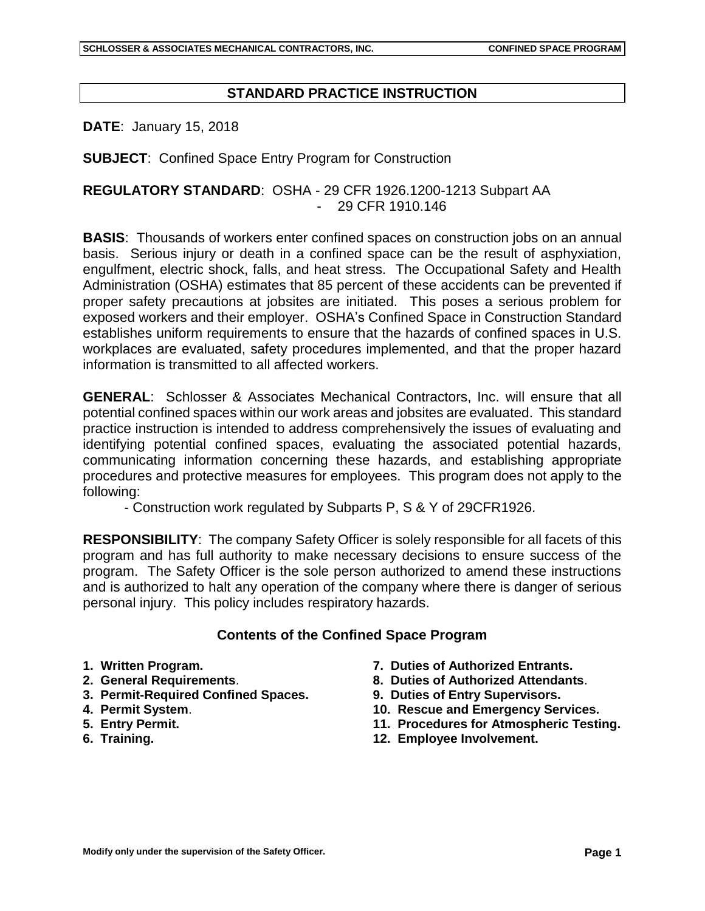## **STANDARD PRACTICE INSTRUCTION**

**DATE**: January 15, 2018

**SUBJECT**: Confined Space Entry Program for Construction

## **REGULATORY STANDARD**: OSHA - 29 CFR 1926.1200-1213 Subpart AA - 29 CFR 1910.146

**BASIS**: Thousands of workers enter confined spaces on construction jobs on an annual basis. Serious injury or death in a confined space can be the result of asphyxiation, engulfment, electric shock, falls, and heat stress. The Occupational Safety and Health Administration (OSHA) estimates that 85 percent of these accidents can be prevented if proper safety precautions at jobsites are initiated. This poses a serious problem for exposed workers and their employer. OSHA's Confined Space in Construction Standard establishes uniform requirements to ensure that the hazards of confined spaces in U.S. workplaces are evaluated, safety procedures implemented, and that the proper hazard information is transmitted to all affected workers.

**GENERAL**: Schlosser & Associates Mechanical Contractors, Inc. will ensure that all potential confined spaces within our work areas and jobsites are evaluated. This standard practice instruction is intended to address comprehensively the issues of evaluating and identifying potential confined spaces, evaluating the associated potential hazards, communicating information concerning these hazards, and establishing appropriate procedures and protective measures for employees. This program does not apply to the following:

- Construction work regulated by Subparts P, S & Y of 29CFR1926.

**RESPONSIBILITY**: The company Safety Officer is solely responsible for all facets of this program and has full authority to make necessary decisions to ensure success of the program. The Safety Officer is the sole person authorized to amend these instructions and is authorized to halt any operation of the company where there is danger of serious personal injury. This policy includes respiratory hazards.

### **Contents of the Confined Space Program**

- **1. Written Program.**
- **2. General Requirements**.
- **3. Permit-Required Confined Spaces.**
- **4. Permit System**.
- **5. Entry Permit.**
- **6. Training.**
- **7. Duties of Authorized Entrants.**
- **8. Duties of Authorized Attendants**.
- **9. Duties of Entry Supervisors.**
- **10. Rescue and Emergency Services.**
- **11. Procedures for Atmospheric Testing.**
- **12. Employee Involvement.**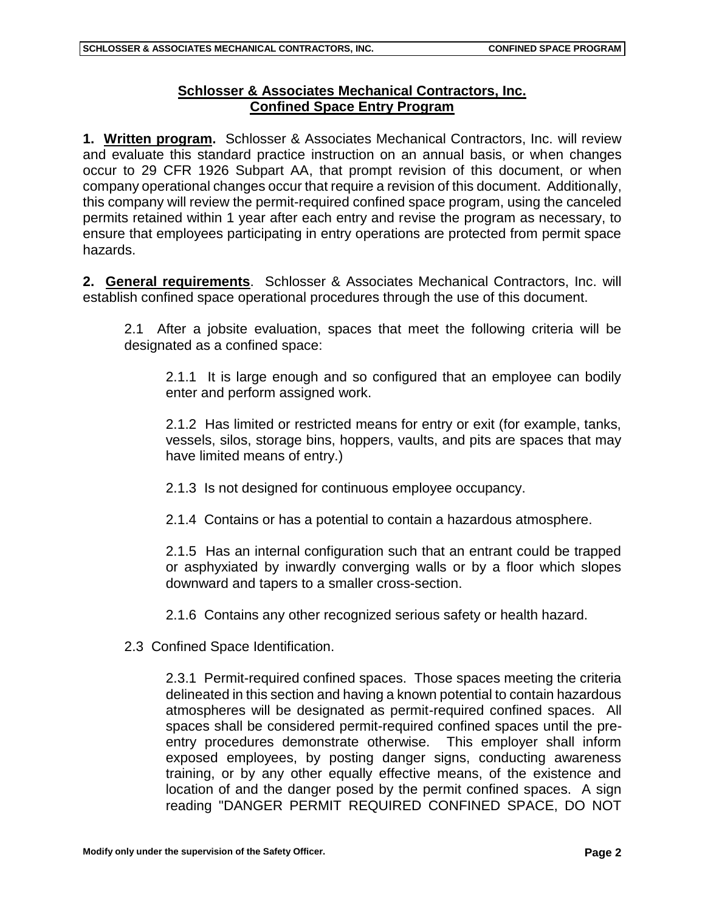# **Schlosser & Associates Mechanical Contractors, Inc. Confined Space Entry Program**

**1. Written program.** Schlosser & Associates Mechanical Contractors, Inc. will review and evaluate this standard practice instruction on an annual basis, or when changes occur to 29 CFR 1926 Subpart AA, that prompt revision of this document, or when company operational changes occur that require a revision of this document. Additionally, this company will review the permit-required confined space program, using the canceled permits retained within 1 year after each entry and revise the program as necessary, to ensure that employees participating in entry operations are protected from permit space hazards.

**2. General requirements**. Schlosser & Associates Mechanical Contractors, Inc. will establish confined space operational procedures through the use of this document.

2.1 After a jobsite evaluation, spaces that meet the following criteria will be designated as a confined space:

2.1.1 It is large enough and so configured that an employee can bodily enter and perform assigned work.

2.1.2 Has limited or restricted means for entry or exit (for example, tanks, vessels, silos, storage bins, hoppers, vaults, and pits are spaces that may have limited means of entry.)

2.1.3 Is not designed for continuous employee occupancy.

2.1.4 Contains or has a potential to contain a hazardous atmosphere.

2.1.5 Has an internal configuration such that an entrant could be trapped or asphyxiated by inwardly converging walls or by a floor which slopes downward and tapers to a smaller cross-section.

2.1.6 Contains any other recognized serious safety or health hazard.

2.3 Confined Space Identification.

2.3.1 Permit-required confined spaces. Those spaces meeting the criteria delineated in this section and having a known potential to contain hazardous atmospheres will be designated as permit-required confined spaces. All spaces shall be considered permit-required confined spaces until the preentry procedures demonstrate otherwise. This employer shall inform exposed employees, by posting danger signs, conducting awareness training, or by any other equally effective means, of the existence and location of and the danger posed by the permit confined spaces. A sign reading "DANGER PERMIT REQUIRED CONFINED SPACE, DO NOT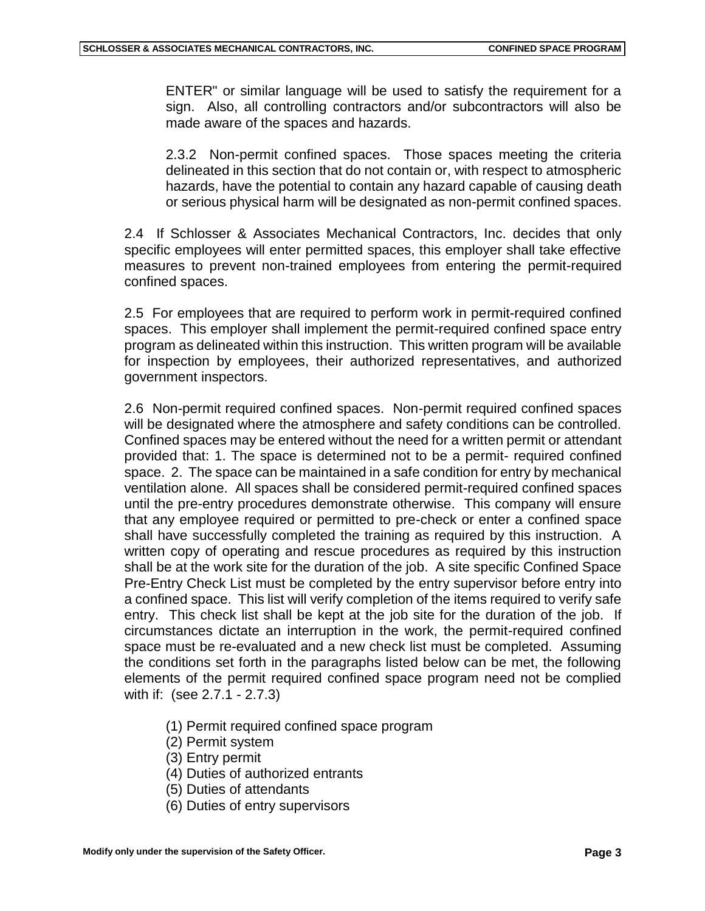ENTER" or similar language will be used to satisfy the requirement for a sign. Also, all controlling contractors and/or subcontractors will also be made aware of the spaces and hazards.

2.3.2 Non-permit confined spaces. Those spaces meeting the criteria delineated in this section that do not contain or, with respect to atmospheric hazards, have the potential to contain any hazard capable of causing death or serious physical harm will be designated as non-permit confined spaces.

2.4 If Schlosser & Associates Mechanical Contractors, Inc. decides that only specific employees will enter permitted spaces, this employer shall take effective measures to prevent non-trained employees from entering the permit-required confined spaces.

2.5 For employees that are required to perform work in permit-required confined spaces. This employer shall implement the permit-required confined space entry program as delineated within this instruction. This written program will be available for inspection by employees, their authorized representatives, and authorized government inspectors.

2.6 Non-permit required confined spaces. Non-permit required confined spaces will be designated where the atmosphere and safety conditions can be controlled. Confined spaces may be entered without the need for a written permit or attendant provided that: 1. The space is determined not to be a permit- required confined space. 2. The space can be maintained in a safe condition for entry by mechanical ventilation alone. All spaces shall be considered permit-required confined spaces until the pre-entry procedures demonstrate otherwise. This company will ensure that any employee required or permitted to pre-check or enter a confined space shall have successfully completed the training as required by this instruction. A written copy of operating and rescue procedures as required by this instruction shall be at the work site for the duration of the job. A site specific Confined Space Pre-Entry Check List must be completed by the entry supervisor before entry into a confined space. This list will verify completion of the items required to verify safe entry. This check list shall be kept at the job site for the duration of the job. If circumstances dictate an interruption in the work, the permit-required confined space must be re-evaluated and a new check list must be completed. Assuming the conditions set forth in the paragraphs listed below can be met, the following elements of the permit required confined space program need not be complied with if: (see 2.7.1 - 2.7.3)

- (1) Permit required confined space program
- (2) Permit system
- (3) Entry permit
- (4) Duties of authorized entrants
- (5) Duties of attendants
- (6) Duties of entry supervisors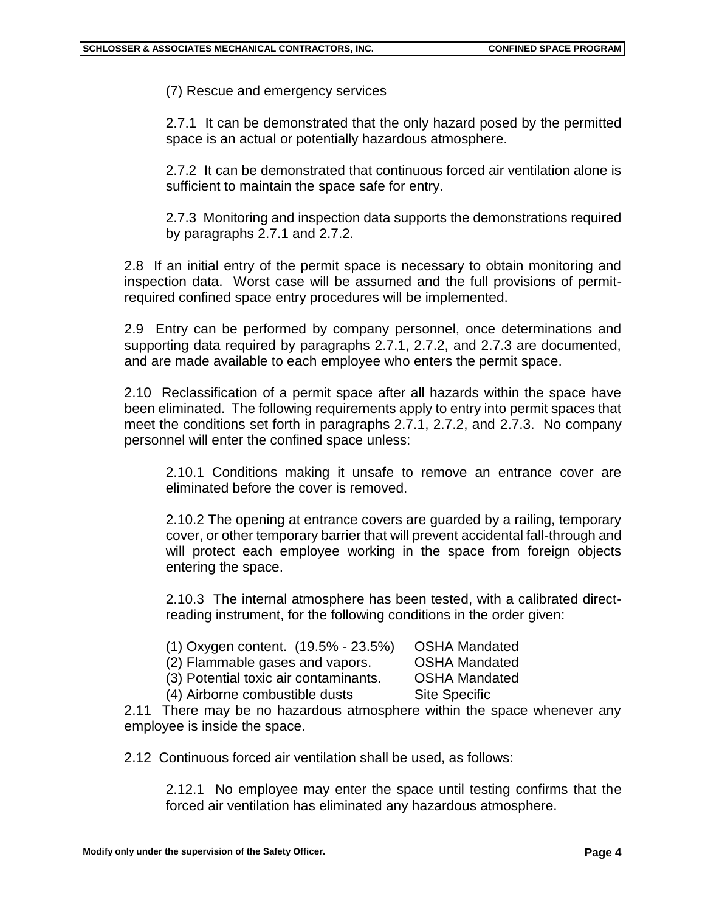(7) Rescue and emergency services

2.7.1 It can be demonstrated that the only hazard posed by the permitted space is an actual or potentially hazardous atmosphere.

2.7.2 It can be demonstrated that continuous forced air ventilation alone is sufficient to maintain the space safe for entry.

2.7.3 Monitoring and inspection data supports the demonstrations required by paragraphs 2.7.1 and 2.7.2.

2.8 If an initial entry of the permit space is necessary to obtain monitoring and inspection data. Worst case will be assumed and the full provisions of permitrequired confined space entry procedures will be implemented.

2.9 Entry can be performed by company personnel, once determinations and supporting data required by paragraphs 2.7.1, 2.7.2, and 2.7.3 are documented, and are made available to each employee who enters the permit space.

2.10 Reclassification of a permit space after all hazards within the space have been eliminated. The following requirements apply to entry into permit spaces that meet the conditions set forth in paragraphs 2.7.1, 2.7.2, and 2.7.3. No company personnel will enter the confined space unless:

2.10.1 Conditions making it unsafe to remove an entrance cover are eliminated before the cover is removed.

2.10.2 The opening at entrance covers are guarded by a railing, temporary cover, or other temporary barrier that will prevent accidental fall-through and will protect each employee working in the space from foreign objects entering the space.

2.10.3 The internal atmosphere has been tested, with a calibrated directreading instrument, for the following conditions in the order given:

| (1) Oxygen content. (19.5% - 23.5%) |  | <b>OSHA Mandated</b> |
|-------------------------------------|--|----------------------|
|-------------------------------------|--|----------------------|

(2) Flammable gases and vapors. OSHA Mandated

(3) Potential toxic air contaminants. OSHA Mandated

(4) Airborne combustible dusts Site Specific

2.11 There may be no hazardous atmosphere within the space whenever any employee is inside the space.

2.12 Continuous forced air ventilation shall be used, as follows:

2.12.1 No employee may enter the space until testing confirms that the forced air ventilation has eliminated any hazardous atmosphere.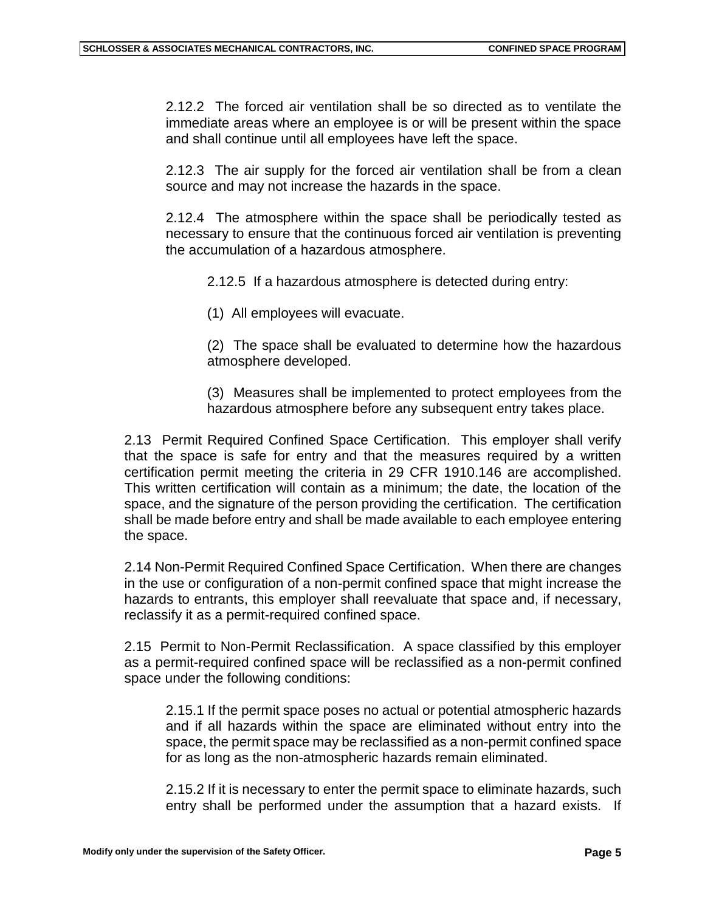2.12.2 The forced air ventilation shall be so directed as to ventilate the immediate areas where an employee is or will be present within the space and shall continue until all employees have left the space.

2.12.3 The air supply for the forced air ventilation shall be from a clean source and may not increase the hazards in the space.

2.12.4 The atmosphere within the space shall be periodically tested as necessary to ensure that the continuous forced air ventilation is preventing the accumulation of a hazardous atmosphere.

2.12.5 If a hazardous atmosphere is detected during entry:

(1) All employees will evacuate.

(2) The space shall be evaluated to determine how the hazardous atmosphere developed.

(3) Measures shall be implemented to protect employees from the hazardous atmosphere before any subsequent entry takes place.

2.13 Permit Required Confined Space Certification. This employer shall verify that the space is safe for entry and that the measures required by a written certification permit meeting the criteria in 29 CFR 1910.146 are accomplished. This written certification will contain as a minimum; the date, the location of the space, and the signature of the person providing the certification. The certification shall be made before entry and shall be made available to each employee entering the space.

2.14 Non-Permit Required Confined Space Certification. When there are changes in the use or configuration of a non-permit confined space that might increase the hazards to entrants, this employer shall reevaluate that space and, if necessary, reclassify it as a permit-required confined space.

2.15 Permit to Non-Permit Reclassification. A space classified by this employer as a permit-required confined space will be reclassified as a non-permit confined space under the following conditions:

2.15.1 If the permit space poses no actual or potential atmospheric hazards and if all hazards within the space are eliminated without entry into the space, the permit space may be reclassified as a non-permit confined space for as long as the non-atmospheric hazards remain eliminated.

2.15.2 If it is necessary to enter the permit space to eliminate hazards, such entry shall be performed under the assumption that a hazard exists. If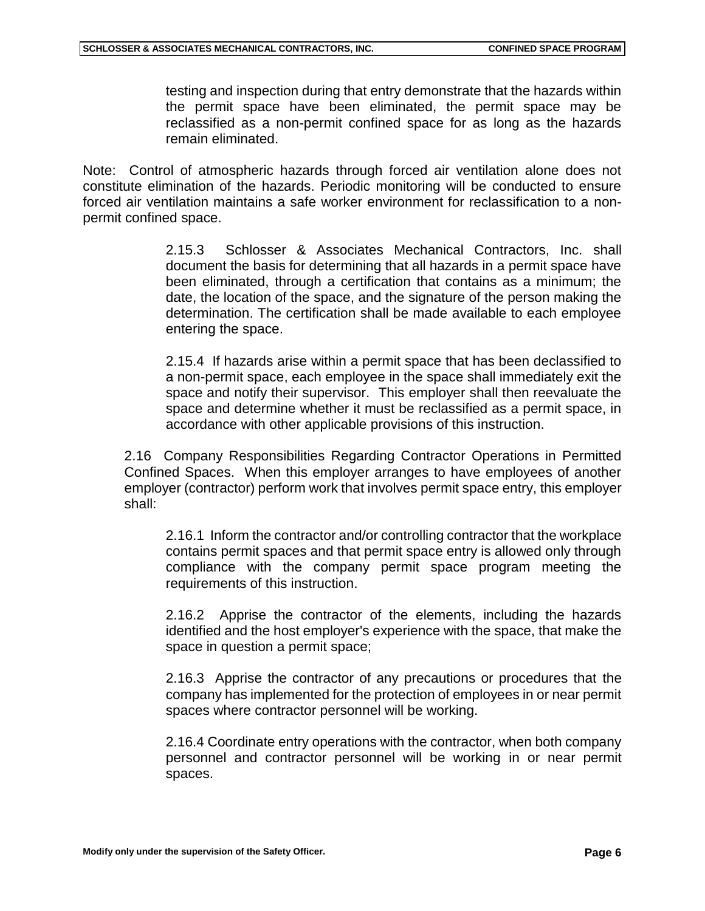testing and inspection during that entry demonstrate that the hazards within the permit space have been eliminated, the permit space may be reclassified as a non-permit confined space for as long as the hazards remain eliminated.

Note: Control of atmospheric hazards through forced air ventilation alone does not constitute elimination of the hazards. Periodic monitoring will be conducted to ensure forced air ventilation maintains a safe worker environment for reclassification to a nonpermit confined space.

> 2.15.3 Schlosser & Associates Mechanical Contractors, Inc. shall document the basis for determining that all hazards in a permit space have been eliminated, through a certification that contains as a minimum; the date, the location of the space, and the signature of the person making the determination. The certification shall be made available to each employee entering the space.

> 2.15.4 If hazards arise within a permit space that has been declassified to a non-permit space, each employee in the space shall immediately exit the space and notify their supervisor. This employer shall then reevaluate the space and determine whether it must be reclassified as a permit space, in accordance with other applicable provisions of this instruction.

2.16 Company Responsibilities Regarding Contractor Operations in Permitted Confined Spaces. When this employer arranges to have employees of another employer (contractor) perform work that involves permit space entry, this employer shall:

2.16.1 Inform the contractor and/or controlling contractor that the workplace contains permit spaces and that permit space entry is allowed only through compliance with the company permit space program meeting the requirements of this instruction.

2.16.2 Apprise the contractor of the elements, including the hazards identified and the host employer's experience with the space, that make the space in question a permit space;

2.16.3 Apprise the contractor of any precautions or procedures that the company has implemented for the protection of employees in or near permit spaces where contractor personnel will be working.

2.16.4 Coordinate entry operations with the contractor, when both company personnel and contractor personnel will be working in or near permit spaces.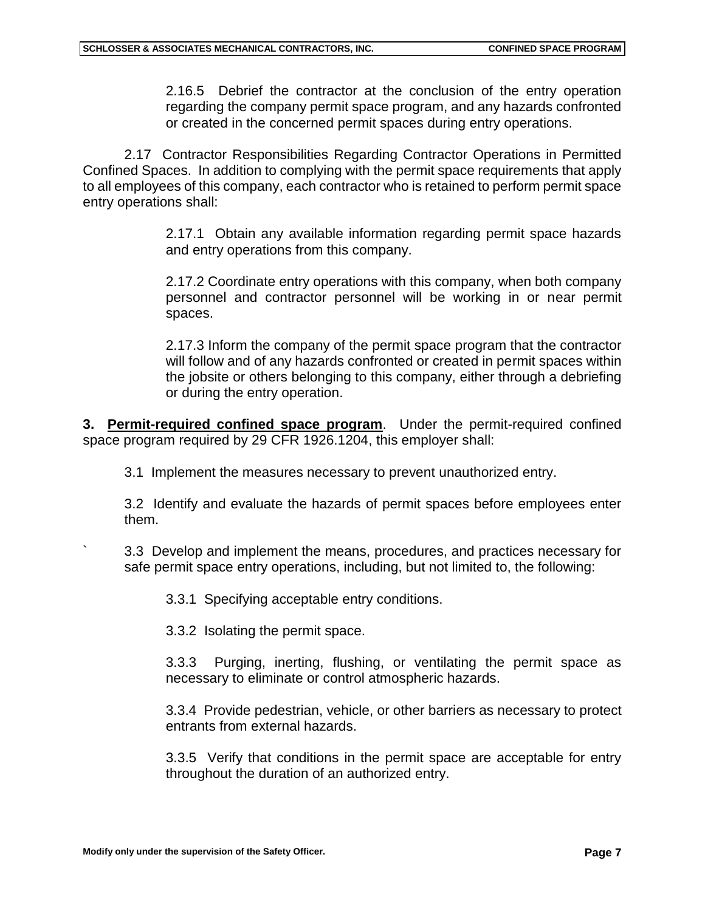2.16.5 Debrief the contractor at the conclusion of the entry operation regarding the company permit space program, and any hazards confronted or created in the concerned permit spaces during entry operations.

2.17 Contractor Responsibilities Regarding Contractor Operations in Permitted Confined Spaces. In addition to complying with the permit space requirements that apply to all employees of this company, each contractor who is retained to perform permit space entry operations shall:

> 2.17.1 Obtain any available information regarding permit space hazards and entry operations from this company.

> 2.17.2 Coordinate entry operations with this company, when both company personnel and contractor personnel will be working in or near permit spaces.

> 2.17.3 Inform the company of the permit space program that the contractor will follow and of any hazards confronted or created in permit spaces within the jobsite or others belonging to this company, either through a debriefing or during the entry operation.

**3. Permit-required confined space program**. Under the permit-required confined space program required by 29 CFR 1926.1204, this employer shall:

3.1 Implement the measures necessary to prevent unauthorized entry.

3.2 Identify and evaluate the hazards of permit spaces before employees enter them.

` 3.3 Develop and implement the means, procedures, and practices necessary for safe permit space entry operations, including, but not limited to, the following:

3.3.1 Specifying acceptable entry conditions.

3.3.2 Isolating the permit space.

3.3.3 Purging, inerting, flushing, or ventilating the permit space as necessary to eliminate or control atmospheric hazards.

3.3.4 Provide pedestrian, vehicle, or other barriers as necessary to protect entrants from external hazards.

3.3.5 Verify that conditions in the permit space are acceptable for entry throughout the duration of an authorized entry.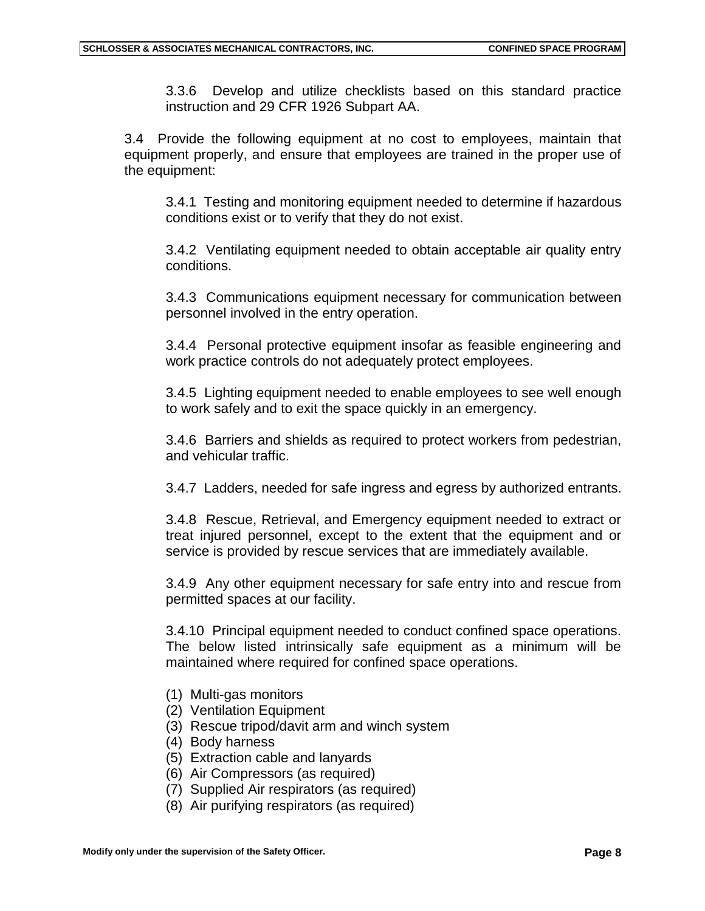3.3.6 Develop and utilize checklists based on this standard practice instruction and 29 CFR 1926 Subpart AA.

3.4 Provide the following equipment at no cost to employees, maintain that equipment properly, and ensure that employees are trained in the proper use of the equipment:

3.4.1 Testing and monitoring equipment needed to determine if hazardous conditions exist or to verify that they do not exist.

3.4.2 Ventilating equipment needed to obtain acceptable air quality entry conditions.

3.4.3 Communications equipment necessary for communication between personnel involved in the entry operation.

3.4.4 Personal protective equipment insofar as feasible engineering and work practice controls do not adequately protect employees.

3.4.5 Lighting equipment needed to enable employees to see well enough to work safely and to exit the space quickly in an emergency.

3.4.6 Barriers and shields as required to protect workers from pedestrian, and vehicular traffic.

3.4.7 Ladders, needed for safe ingress and egress by authorized entrants.

3.4.8 Rescue, Retrieval, and Emergency equipment needed to extract or treat injured personnel, except to the extent that the equipment and or service is provided by rescue services that are immediately available.

3.4.9 Any other equipment necessary for safe entry into and rescue from permitted spaces at our facility.

3.4.10 Principal equipment needed to conduct confined space operations. The below listed intrinsically safe equipment as a minimum will be maintained where required for confined space operations.

- (1) Multi-gas monitors
- (2) Ventilation Equipment
- (3) Rescue tripod/davit arm and winch system
- (4) Body harness
- (5) Extraction cable and lanyards
- (6) Air Compressors (as required)
- (7) Supplied Air respirators (as required)
- (8) Air purifying respirators (as required)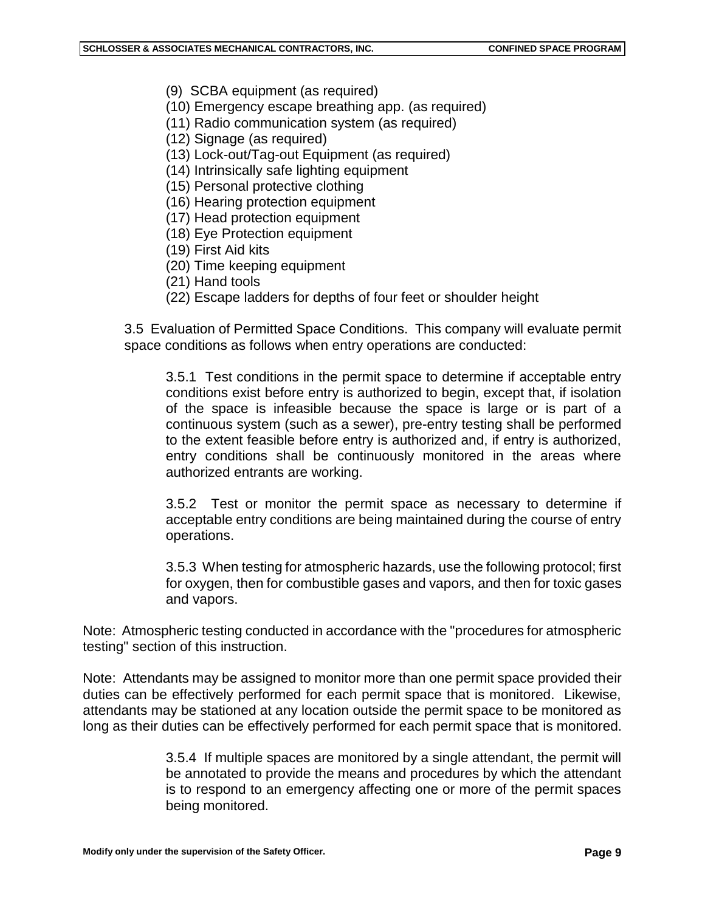- (9) SCBA equipment (as required)
- (10) Emergency escape breathing app. (as required)
- (11) Radio communication system (as required)
- (12) Signage (as required)
- (13) Lock-out/Tag-out Equipment (as required)
- (14) Intrinsically safe lighting equipment
- (15) Personal protective clothing
- (16) Hearing protection equipment
- (17) Head protection equipment
- (18) Eye Protection equipment
- (19) First Aid kits
- (20) Time keeping equipment
- (21) Hand tools
- (22) Escape ladders for depths of four feet or shoulder height

3.5 Evaluation of Permitted Space Conditions. This company will evaluate permit space conditions as follows when entry operations are conducted:

3.5.1 Test conditions in the permit space to determine if acceptable entry conditions exist before entry is authorized to begin, except that, if isolation of the space is infeasible because the space is large or is part of a continuous system (such as a sewer), pre-entry testing shall be performed to the extent feasible before entry is authorized and, if entry is authorized, entry conditions shall be continuously monitored in the areas where authorized entrants are working.

3.5.2 Test or monitor the permit space as necessary to determine if acceptable entry conditions are being maintained during the course of entry operations.

3.5.3 When testing for atmospheric hazards, use the following protocol; first for oxygen, then for combustible gases and vapors, and then for toxic gases and vapors.

Note: Atmospheric testing conducted in accordance with the "procedures for atmospheric testing" section of this instruction.

Note: Attendants may be assigned to monitor more than one permit space provided their duties can be effectively performed for each permit space that is monitored. Likewise, attendants may be stationed at any location outside the permit space to be monitored as long as their duties can be effectively performed for each permit space that is monitored.

> 3.5.4 If multiple spaces are monitored by a single attendant, the permit will be annotated to provide the means and procedures by which the attendant is to respond to an emergency affecting one or more of the permit spaces being monitored.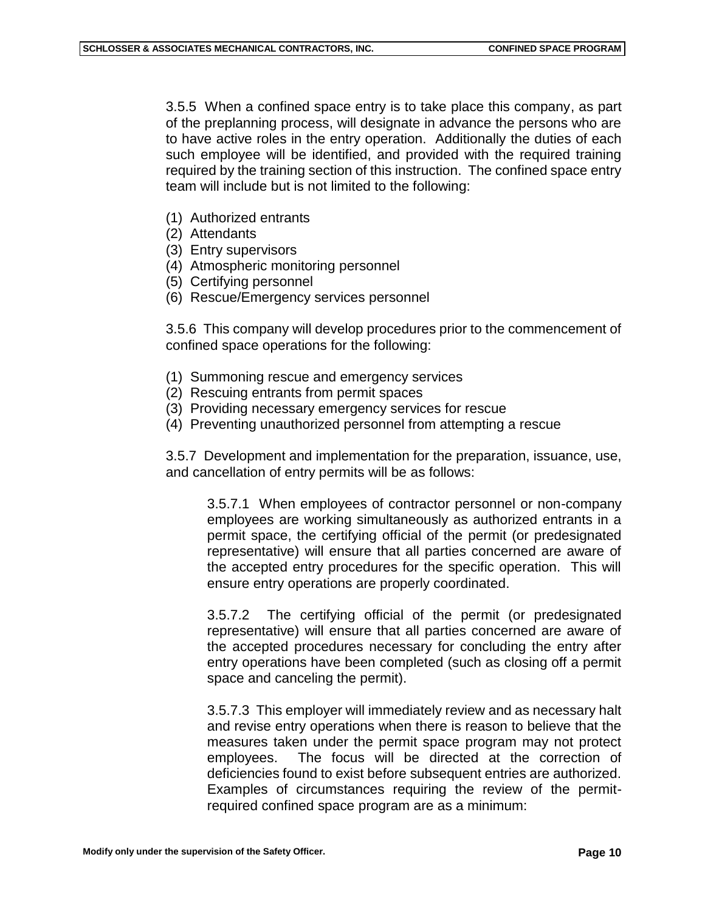3.5.5 When a confined space entry is to take place this company, as part of the preplanning process, will designate in advance the persons who are to have active roles in the entry operation. Additionally the duties of each such employee will be identified, and provided with the required training required by the training section of this instruction. The confined space entry team will include but is not limited to the following:

- (1) Authorized entrants
- (2) Attendants
- (3) Entry supervisors
- (4) Atmospheric monitoring personnel
- (5) Certifying personnel
- (6) Rescue/Emergency services personnel

3.5.6 This company will develop procedures prior to the commencement of confined space operations for the following:

- (1) Summoning rescue and emergency services
- (2) Rescuing entrants from permit spaces
- (3) Providing necessary emergency services for rescue
- (4) Preventing unauthorized personnel from attempting a rescue

3.5.7 Development and implementation for the preparation, issuance, use, and cancellation of entry permits will be as follows:

3.5.7.1 When employees of contractor personnel or non-company employees are working simultaneously as authorized entrants in a permit space, the certifying official of the permit (or predesignated representative) will ensure that all parties concerned are aware of the accepted entry procedures for the specific operation. This will ensure entry operations are properly coordinated.

3.5.7.2 The certifying official of the permit (or predesignated representative) will ensure that all parties concerned are aware of the accepted procedures necessary for concluding the entry after entry operations have been completed (such as closing off a permit space and canceling the permit).

3.5.7.3 This employer will immediately review and as necessary halt and revise entry operations when there is reason to believe that the measures taken under the permit space program may not protect employees. The focus will be directed at the correction of deficiencies found to exist before subsequent entries are authorized. Examples of circumstances requiring the review of the permitrequired confined space program are as a minimum: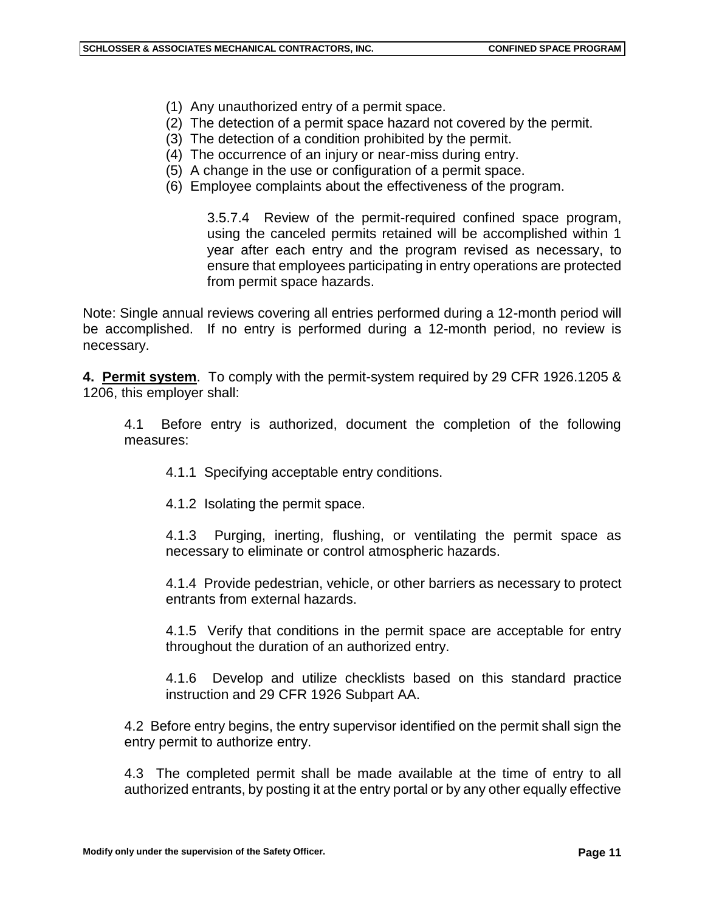- (1) Any unauthorized entry of a permit space.
- (2) The detection of a permit space hazard not covered by the permit.
- (3) The detection of a condition prohibited by the permit.
- (4) The occurrence of an injury or near-miss during entry.
- (5) A change in the use or configuration of a permit space.
- (6) Employee complaints about the effectiveness of the program.

3.5.7.4 Review of the permit-required confined space program, using the canceled permits retained will be accomplished within 1 year after each entry and the program revised as necessary, to ensure that employees participating in entry operations are protected from permit space hazards.

Note: Single annual reviews covering all entries performed during a 12-month period will be accomplished. If no entry is performed during a 12-month period, no review is necessary.

**4. Permit system**. To comply with the permit-system required by 29 CFR 1926.1205 & 1206, this employer shall:

4.1 Before entry is authorized, document the completion of the following measures:

- 4.1.1 Specifying acceptable entry conditions.
- 4.1.2 Isolating the permit space.

4.1.3 Purging, inerting, flushing, or ventilating the permit space as necessary to eliminate or control atmospheric hazards.

4.1.4 Provide pedestrian, vehicle, or other barriers as necessary to protect entrants from external hazards.

4.1.5 Verify that conditions in the permit space are acceptable for entry throughout the duration of an authorized entry.

4.1.6 Develop and utilize checklists based on this standard practice instruction and 29 CFR 1926 Subpart AA.

4.2 Before entry begins, the entry supervisor identified on the permit shall sign the entry permit to authorize entry.

4.3 The completed permit shall be made available at the time of entry to all authorized entrants, by posting it at the entry portal or by any other equally effective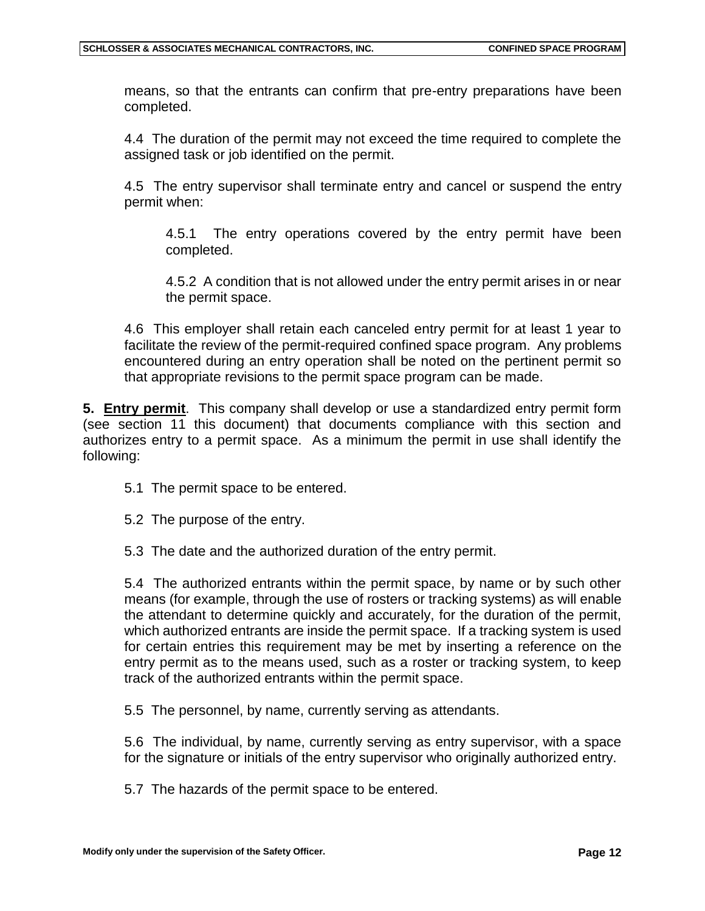means, so that the entrants can confirm that pre-entry preparations have been completed.

4.4 The duration of the permit may not exceed the time required to complete the assigned task or job identified on the permit.

4.5 The entry supervisor shall terminate entry and cancel or suspend the entry permit when:

4.5.1 The entry operations covered by the entry permit have been completed.

4.5.2 A condition that is not allowed under the entry permit arises in or near the permit space.

4.6 This employer shall retain each canceled entry permit for at least 1 year to facilitate the review of the permit-required confined space program. Any problems encountered during an entry operation shall be noted on the pertinent permit so that appropriate revisions to the permit space program can be made.

**5. Entry permit**. This company shall develop or use a standardized entry permit form (see section 11 this document) that documents compliance with this section and authorizes entry to a permit space. As a minimum the permit in use shall identify the following:

- 5.1 The permit space to be entered.
- 5.2 The purpose of the entry.

5.3 The date and the authorized duration of the entry permit.

5.4 The authorized entrants within the permit space, by name or by such other means (for example, through the use of rosters or tracking systems) as will enable the attendant to determine quickly and accurately, for the duration of the permit, which authorized entrants are inside the permit space. If a tracking system is used for certain entries this requirement may be met by inserting a reference on the entry permit as to the means used, such as a roster or tracking system, to keep track of the authorized entrants within the permit space.

5.5 The personnel, by name, currently serving as attendants.

5.6 The individual, by name, currently serving as entry supervisor, with a space for the signature or initials of the entry supervisor who originally authorized entry.

5.7 The hazards of the permit space to be entered.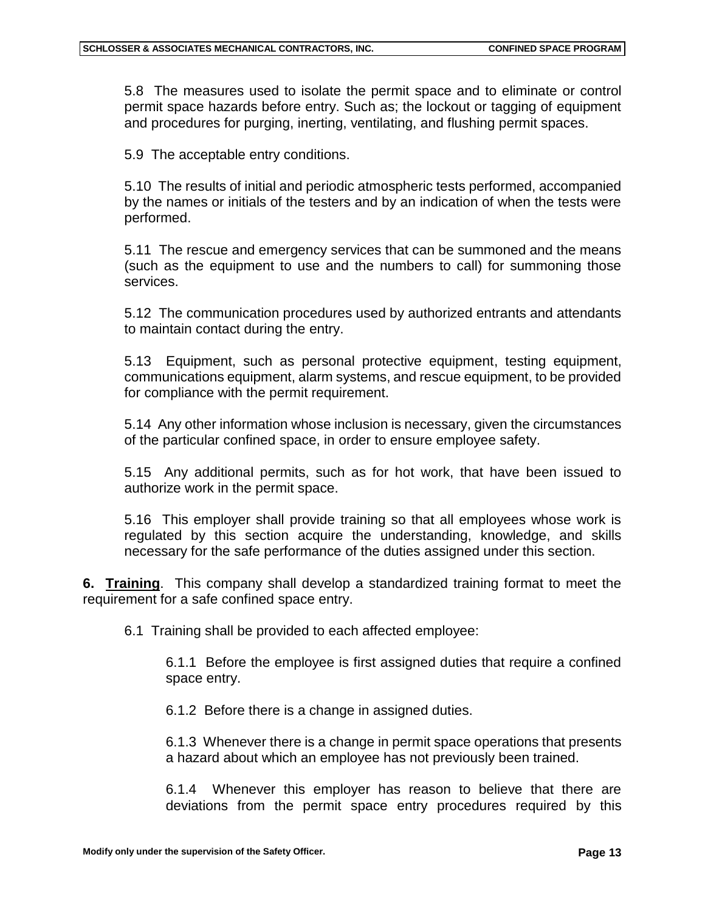5.8 The measures used to isolate the permit space and to eliminate or control permit space hazards before entry. Such as; the lockout or tagging of equipment and procedures for purging, inerting, ventilating, and flushing permit spaces.

5.9 The acceptable entry conditions.

5.10 The results of initial and periodic atmospheric tests performed, accompanied by the names or initials of the testers and by an indication of when the tests were performed.

5.11 The rescue and emergency services that can be summoned and the means (such as the equipment to use and the numbers to call) for summoning those services.

5.12 The communication procedures used by authorized entrants and attendants to maintain contact during the entry.

5.13 Equipment, such as personal protective equipment, testing equipment, communications equipment, alarm systems, and rescue equipment, to be provided for compliance with the permit requirement.

5.14 Any other information whose inclusion is necessary, given the circumstances of the particular confined space, in order to ensure employee safety.

5.15 Any additional permits, such as for hot work, that have been issued to authorize work in the permit space.

5.16 This employer shall provide training so that all employees whose work is regulated by this section acquire the understanding, knowledge, and skills necessary for the safe performance of the duties assigned under this section.

**6. Training**. This company shall develop a standardized training format to meet the requirement for a safe confined space entry.

6.1 Training shall be provided to each affected employee:

6.1.1 Before the employee is first assigned duties that require a confined space entry.

6.1.2 Before there is a change in assigned duties.

6.1.3 Whenever there is a change in permit space operations that presents a hazard about which an employee has not previously been trained.

6.1.4 Whenever this employer has reason to believe that there are deviations from the permit space entry procedures required by this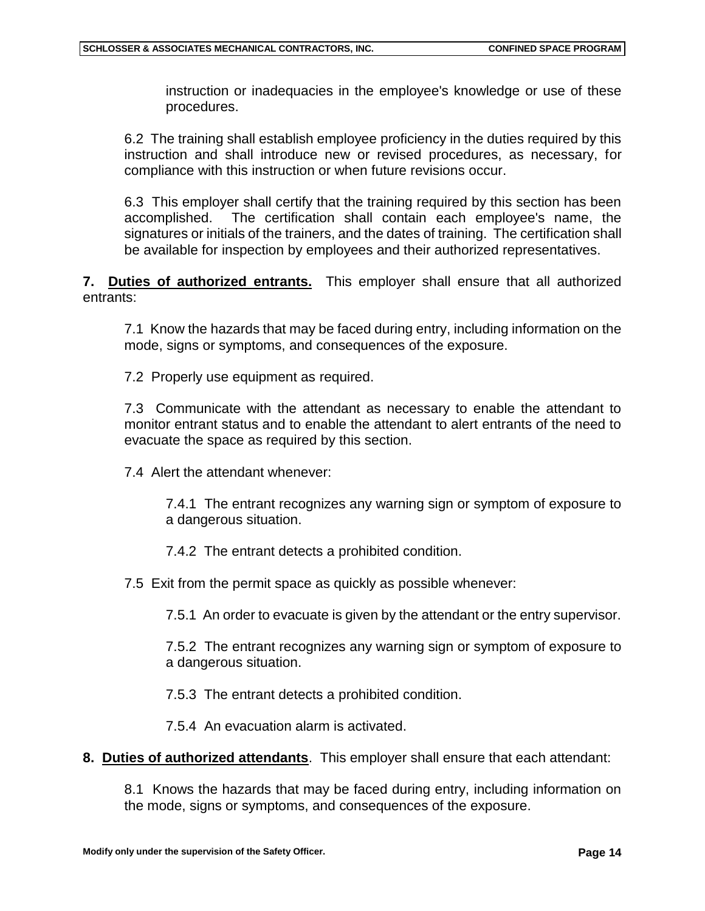instruction or inadequacies in the employee's knowledge or use of these procedures.

6.2 The training shall establish employee proficiency in the duties required by this instruction and shall introduce new or revised procedures, as necessary, for compliance with this instruction or when future revisions occur.

6.3 This employer shall certify that the training required by this section has been accomplished. The certification shall contain each employee's name, the signatures or initials of the trainers, and the dates of training. The certification shall be available for inspection by employees and their authorized representatives.

**7. Duties of authorized entrants.** This employer shall ensure that all authorized entrants:

7.1 Know the hazards that may be faced during entry, including information on the mode, signs or symptoms, and consequences of the exposure.

7.2 Properly use equipment as required.

7.3 Communicate with the attendant as necessary to enable the attendant to monitor entrant status and to enable the attendant to alert entrants of the need to evacuate the space as required by this section.

7.4 Alert the attendant whenever:

7.4.1 The entrant recognizes any warning sign or symptom of exposure to a dangerous situation.

7.4.2 The entrant detects a prohibited condition.

7.5 Exit from the permit space as quickly as possible whenever:

7.5.1 An order to evacuate is given by the attendant or the entry supervisor.

7.5.2 The entrant recognizes any warning sign or symptom of exposure to a dangerous situation.

7.5.3 The entrant detects a prohibited condition.

7.5.4 An evacuation alarm is activated.

**8. Duties of authorized attendants**. This employer shall ensure that each attendant:

8.1 Knows the hazards that may be faced during entry, including information on the mode, signs or symptoms, and consequences of the exposure.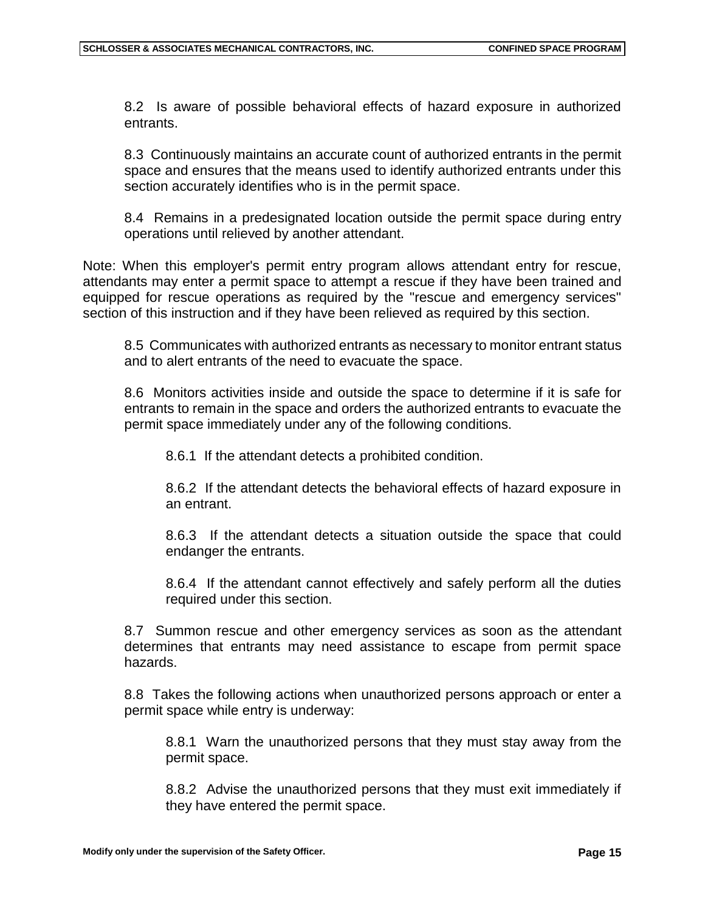8.2 Is aware of possible behavioral effects of hazard exposure in authorized entrants.

8.3 Continuously maintains an accurate count of authorized entrants in the permit space and ensures that the means used to identify authorized entrants under this section accurately identifies who is in the permit space.

8.4 Remains in a predesignated location outside the permit space during entry operations until relieved by another attendant.

Note: When this employer's permit entry program allows attendant entry for rescue, attendants may enter a permit space to attempt a rescue if they have been trained and equipped for rescue operations as required by the "rescue and emergency services" section of this instruction and if they have been relieved as required by this section.

8.5 Communicates with authorized entrants as necessary to monitor entrant status and to alert entrants of the need to evacuate the space.

8.6 Monitors activities inside and outside the space to determine if it is safe for entrants to remain in the space and orders the authorized entrants to evacuate the permit space immediately under any of the following conditions.

8.6.1 If the attendant detects a prohibited condition.

8.6.2 If the attendant detects the behavioral effects of hazard exposure in an entrant.

8.6.3 If the attendant detects a situation outside the space that could endanger the entrants.

8.6.4 If the attendant cannot effectively and safely perform all the duties required under this section.

8.7 Summon rescue and other emergency services as soon as the attendant determines that entrants may need assistance to escape from permit space hazards.

8.8 Takes the following actions when unauthorized persons approach or enter a permit space while entry is underway:

8.8.1 Warn the unauthorized persons that they must stay away from the permit space.

8.8.2 Advise the unauthorized persons that they must exit immediately if they have entered the permit space.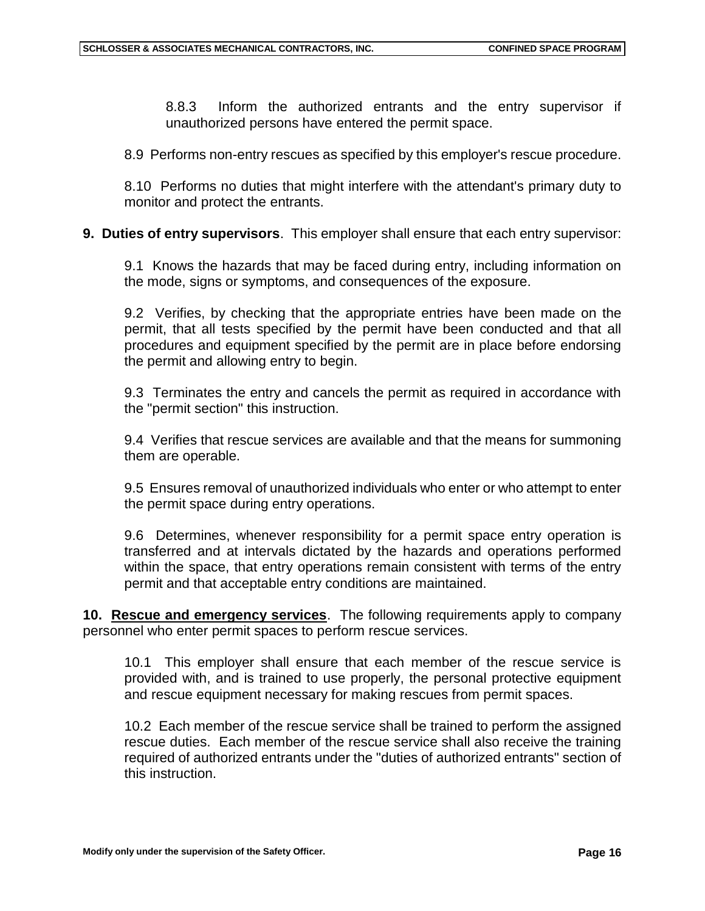8.8.3 Inform the authorized entrants and the entry supervisor if unauthorized persons have entered the permit space.

8.9 Performs non-entry rescues as specified by this employer's rescue procedure.

8.10 Performs no duties that might interfere with the attendant's primary duty to monitor and protect the entrants.

### **9. Duties of entry supervisors**. This employer shall ensure that each entry supervisor:

9.1 Knows the hazards that may be faced during entry, including information on the mode, signs or symptoms, and consequences of the exposure.

9.2 Verifies, by checking that the appropriate entries have been made on the permit, that all tests specified by the permit have been conducted and that all procedures and equipment specified by the permit are in place before endorsing the permit and allowing entry to begin.

9.3 Terminates the entry and cancels the permit as required in accordance with the "permit section" this instruction.

9.4 Verifies that rescue services are available and that the means for summoning them are operable.

9.5 Ensures removal of unauthorized individuals who enter or who attempt to enter the permit space during entry operations.

9.6 Determines, whenever responsibility for a permit space entry operation is transferred and at intervals dictated by the hazards and operations performed within the space, that entry operations remain consistent with terms of the entry permit and that acceptable entry conditions are maintained.

**10. Rescue and emergency services**. The following requirements apply to company personnel who enter permit spaces to perform rescue services.

10.1 This employer shall ensure that each member of the rescue service is provided with, and is trained to use properly, the personal protective equipment and rescue equipment necessary for making rescues from permit spaces.

10.2 Each member of the rescue service shall be trained to perform the assigned rescue duties. Each member of the rescue service shall also receive the training required of authorized entrants under the "duties of authorized entrants" section of this instruction.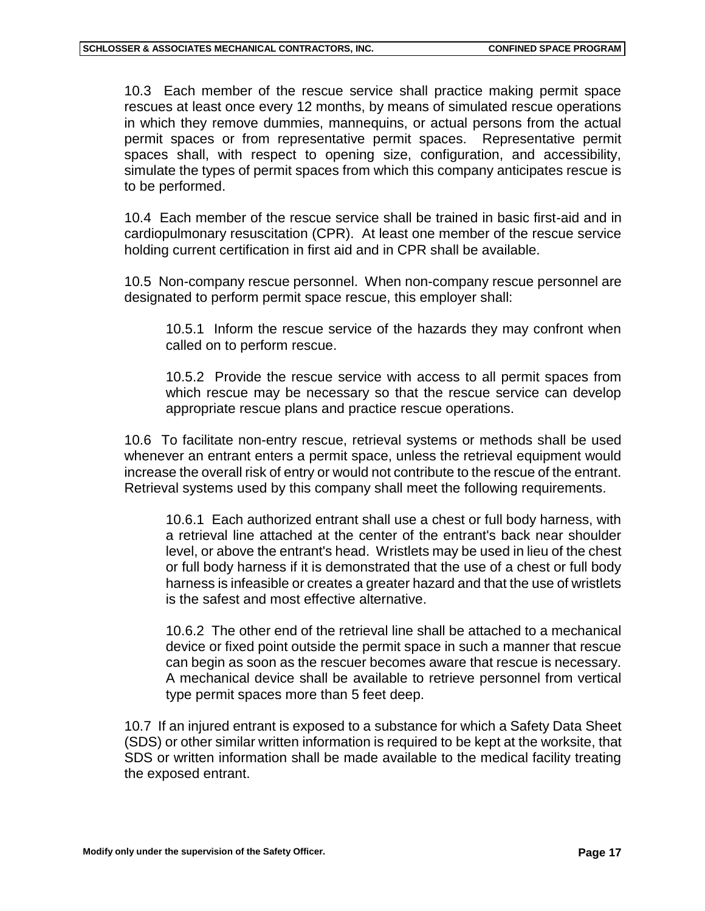10.3 Each member of the rescue service shall practice making permit space rescues at least once every 12 months, by means of simulated rescue operations in which they remove dummies, mannequins, or actual persons from the actual permit spaces or from representative permit spaces. Representative permit spaces shall, with respect to opening size, configuration, and accessibility, simulate the types of permit spaces from which this company anticipates rescue is to be performed.

10.4 Each member of the rescue service shall be trained in basic first-aid and in cardiopulmonary resuscitation (CPR). At least one member of the rescue service holding current certification in first aid and in CPR shall be available.

10.5 Non-company rescue personnel. When non-company rescue personnel are designated to perform permit space rescue, this employer shall:

10.5.1 Inform the rescue service of the hazards they may confront when called on to perform rescue.

10.5.2 Provide the rescue service with access to all permit spaces from which rescue may be necessary so that the rescue service can develop appropriate rescue plans and practice rescue operations.

10.6 To facilitate non-entry rescue, retrieval systems or methods shall be used whenever an entrant enters a permit space, unless the retrieval equipment would increase the overall risk of entry or would not contribute to the rescue of the entrant. Retrieval systems used by this company shall meet the following requirements.

10.6.1 Each authorized entrant shall use a chest or full body harness, with a retrieval line attached at the center of the entrant's back near shoulder level, or above the entrant's head. Wristlets may be used in lieu of the chest or full body harness if it is demonstrated that the use of a chest or full body harness is infeasible or creates a greater hazard and that the use of wristlets is the safest and most effective alternative.

10.6.2 The other end of the retrieval line shall be attached to a mechanical device or fixed point outside the permit space in such a manner that rescue can begin as soon as the rescuer becomes aware that rescue is necessary. A mechanical device shall be available to retrieve personnel from vertical type permit spaces more than 5 feet deep.

10.7 If an injured entrant is exposed to a substance for which a Safety Data Sheet (SDS) or other similar written information is required to be kept at the worksite, that SDS or written information shall be made available to the medical facility treating the exposed entrant.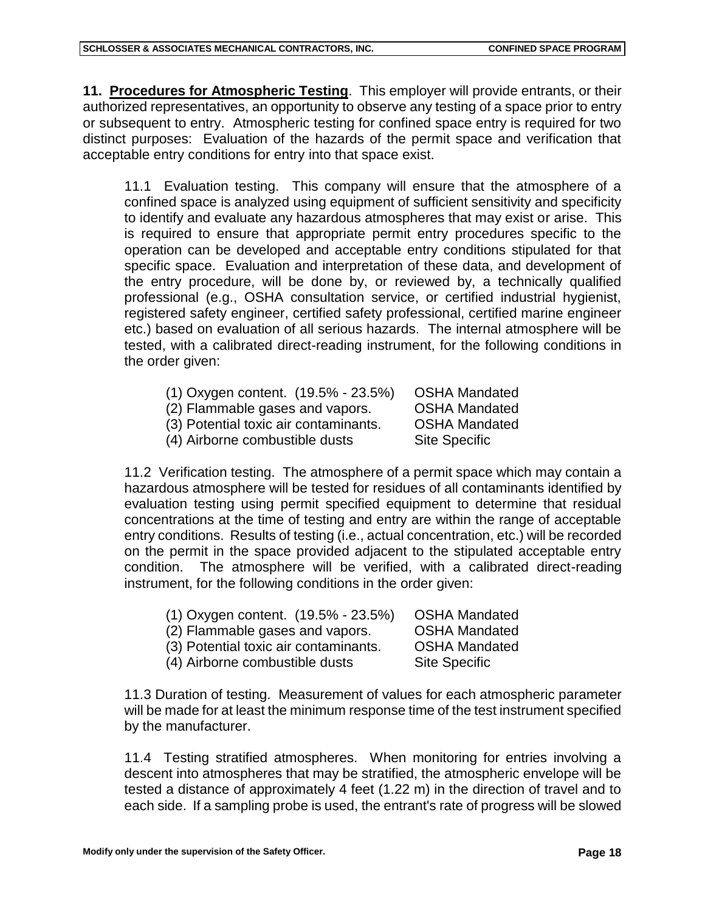**11. Procedures for Atmospheric Testing**. This employer will provide entrants, or their authorized representatives, an opportunity to observe any testing of a space prior to entry or subsequent to entry. Atmospheric testing for confined space entry is required for two distinct purposes: Evaluation of the hazards of the permit space and verification that acceptable entry conditions for entry into that space exist.

11.1 Evaluation testing. This company will ensure that the atmosphere of a confined space is analyzed using equipment of sufficient sensitivity and specificity to identify and evaluate any hazardous atmospheres that may exist or arise. This is required to ensure that appropriate permit entry procedures specific to the operation can be developed and acceptable entry conditions stipulated for that specific space. Evaluation and interpretation of these data, and development of the entry procedure, will be done by, or reviewed by, a technically qualified professional (e.g., OSHA consultation service, or certified industrial hygienist, registered safety engineer, certified safety professional, certified marine engineer etc.) based on evaluation of all serious hazards. The internal atmosphere will be tested, with a calibrated direct-reading instrument, for the following conditions in the order given:

- (1) Oxygen content. (19.5% 23.5%) OSHA Mandated
- (2) Flammable gases and vapors. OSHA Mandated
- (3) Potential toxic air contaminants. OSHA Mandated
- (4) Airborne combustible dusts Site Specific

11.2 Verification testing. The atmosphere of a permit space which may contain a hazardous atmosphere will be tested for residues of all contaminants identified by evaluation testing using permit specified equipment to determine that residual concentrations at the time of testing and entry are within the range of acceptable entry conditions. Results of testing (i.e., actual concentration, etc.) will be recorded on the permit in the space provided adjacent to the stipulated acceptable entry condition. The atmosphere will be verified, with a calibrated direct-reading instrument, for the following conditions in the order given:

| $(1)$ Oxygen content. $(19.5\% - 23.5\%)$ | <b>OSHA Mandated</b> |
|-------------------------------------------|----------------------|
| (2) Flammable gases and vapors.           | <b>OSHA Mandated</b> |
| (3) Potential toxic air contaminants.     | <b>OSHA Mandated</b> |
| (4) Airborne combustible dusts            | <b>Site Specific</b> |
|                                           |                      |

 11.3 Duration of testing. Measurement of values for each atmospheric parameter will be made for at least the minimum response time of the test instrument specified by the manufacturer.

11.4 Testing stratified atmospheres. When monitoring for entries involving a descent into atmospheres that may be stratified, the atmospheric envelope will be tested a distance of approximately 4 feet (1.22 m) in the direction of travel and to each side. If a sampling probe is used, the entrant's rate of progress will be slowed